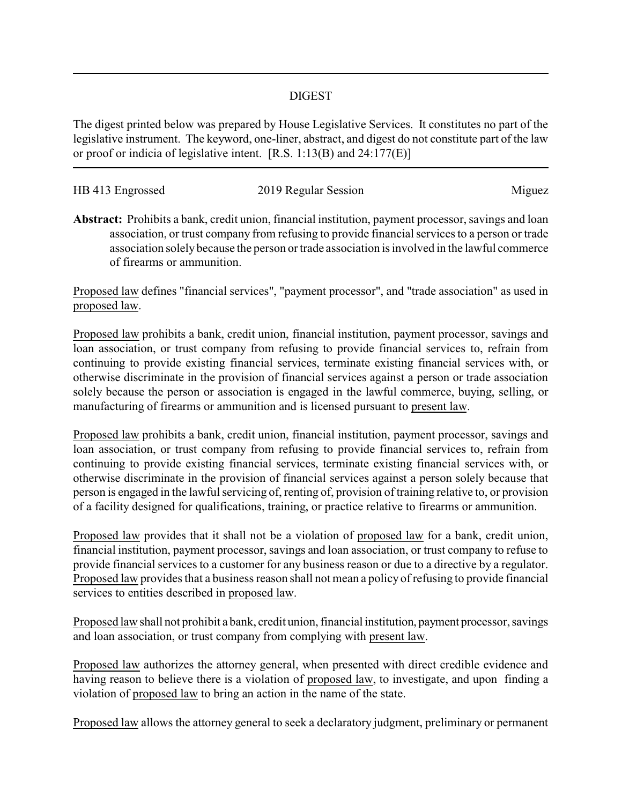## DIGEST

The digest printed below was prepared by House Legislative Services. It constitutes no part of the legislative instrument. The keyword, one-liner, abstract, and digest do not constitute part of the law or proof or indicia of legislative intent. [R.S. 1:13(B) and 24:177(E)]

| HB 413 Engrossed | 2019 Regular Session | Miguez |
|------------------|----------------------|--------|
|                  |                      |        |

**Abstract:** Prohibits a bank, credit union, financial institution, payment processor, savings and loan association, or trust company from refusing to provide financial services to a person or trade association solely because the person or trade association is involved in the lawful commerce of firearms or ammunition.

Proposed law defines "financial services", "payment processor", and "trade association" as used in proposed law.

Proposed law prohibits a bank, credit union, financial institution, payment processor, savings and loan association, or trust company from refusing to provide financial services to, refrain from continuing to provide existing financial services, terminate existing financial services with, or otherwise discriminate in the provision of financial services against a person or trade association solely because the person or association is engaged in the lawful commerce, buying, selling, or manufacturing of firearms or ammunition and is licensed pursuant to present law.

Proposed law prohibits a bank, credit union, financial institution, payment processor, savings and loan association, or trust company from refusing to provide financial services to, refrain from continuing to provide existing financial services, terminate existing financial services with, or otherwise discriminate in the provision of financial services against a person solely because that person is engaged in the lawful servicing of, renting of, provision of training relative to, or provision of a facility designed for qualifications, training, or practice relative to firearms or ammunition.

Proposed law provides that it shall not be a violation of proposed law for a bank, credit union, financial institution, payment processor, savings and loan association, or trust company to refuse to provide financial services to a customer for any business reason or due to a directive by a regulator. Proposed law provides that a business reason shall not mean a policy of refusing to provide financial services to entities described in proposed law.

Proposed law shall not prohibit a bank, credit union, financial institution, payment processor, savings and loan association, or trust company from complying with present law.

Proposed law authorizes the attorney general, when presented with direct credible evidence and having reason to believe there is a violation of proposed law, to investigate, and upon finding a violation of proposed law to bring an action in the name of the state.

Proposed law allows the attorney general to seek a declaratory judgment, preliminary or permanent